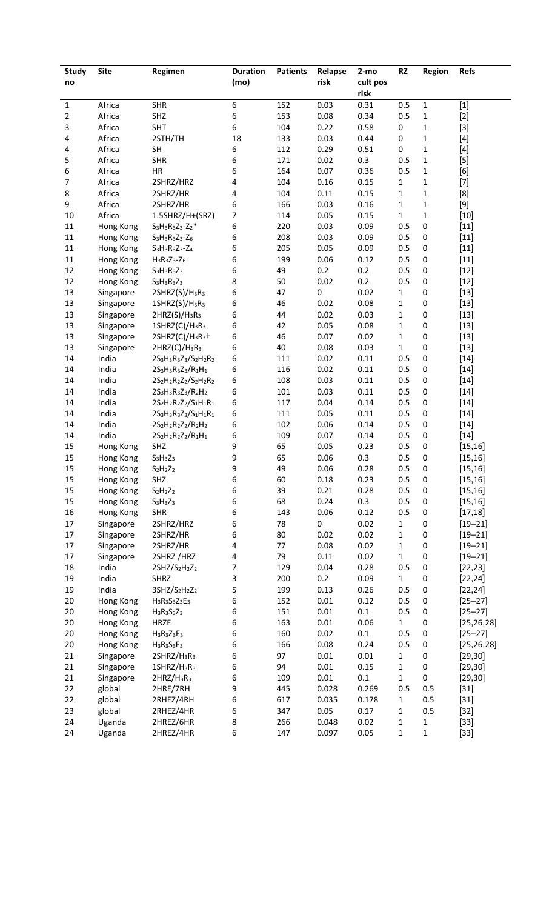| <b>Study</b>   | <b>Site</b>            | Regimen                                                                                                    | <b>Duration</b> | <b>Patients</b> | Relapse      | $2-mo$      | <b>RZ</b>    | Region         | Refs                    |
|----------------|------------------------|------------------------------------------------------------------------------------------------------------|-----------------|-----------------|--------------|-------------|--------------|----------------|-------------------------|
| no             |                        |                                                                                                            | (mo)            |                 | risk         | cult pos    |              |                |                         |
|                |                        |                                                                                                            |                 |                 |              | risk        |              |                |                         |
| 1              | Africa                 | <b>SHR</b>                                                                                                 | 6               | 152             | 0.03         | 0.31        | 0.5          | 1              | $[1]$                   |
| $\overline{2}$ | Africa                 | SHZ                                                                                                        | 6               | 153             | 0.08         | 0.34        | 0.5          | $\mathbf 1$    | $[2]$                   |
| 3              | Africa                 | <b>SHT</b>                                                                                                 | 6               | 104             | 0.22         | 0.58        | 0            | $\mathbf 1$    | $[3]$                   |
| 4              | Africa                 | 2STH/TH                                                                                                    | 18              | 133             | 0.03         | 0.44        | 0            | $\mathbf 1$    | $[4]$                   |
| 4              | Africa                 | SH                                                                                                         | 6               | 112             | 0.29         | 0.51        | 0            | $\mathbf 1$    | $[4]$                   |
| 5              | Africa                 | <b>SHR</b>                                                                                                 | 6               | 171             | 0.02         | 0.3         | 0.5          | $\mathbf 1$    | $[5]$                   |
| 6              | Africa                 | HR                                                                                                         | 6               | 164             | 0.07         | 0.36        | 0.5          | $\mathbf 1$    | [6]                     |
| $\overline{7}$ | Africa                 | 2SHRZ/HRZ                                                                                                  | 4               | 104             | 0.16         | 0.15        | 1            | $\mathbf 1$    | $[7]$                   |
| 8              | Africa                 | 2SHRZ/HR                                                                                                   | 4               | 104             | 0.11         | 0.15        | $\mathbf{1}$ | $\mathbf 1$    | [8]                     |
| 9              | Africa                 | 2SHRZ/HR                                                                                                   | 6               | 166             | 0.03         | 0.16        | $\mathbf 1$  | $\mathbf 1$    | $[9]$                   |
| $10\,$         | Africa                 | 1.5SHRZ/H+(SRZ)                                                                                            | 7               | 114             | 0.05         | 0.15        | $\mathbf{1}$ | $\mathbf 1$    | $[10]$                  |
| $11\,$         | Hong Kong              | $S_3H_3R_3Z_3-Z_2*$                                                                                        | 6               | 220             | 0.03         | 0.09        | 0.5          | $\pmb{0}$      | $[11]$                  |
| $11\,$         | Hong Kong              | $S_3H_3R_3Z_3-Z_6$                                                                                         | 6               | 208             | 0.03         | 0.09        | 0.5          | 0              | $[11]$                  |
| $11\,$         | Hong Kong              | $S_3H_3R_3Z_3-Z_4$                                                                                         | 6               | 205             | 0.05         | 0.09        | 0.5          | 0              | $[11]$                  |
| $11\,$         | Hong Kong              | $H_3R_3Z_3-Z_6$                                                                                            | 6               | 199             | 0.06         | 0.12        | 0.5          | 0              | $[11]$                  |
| 12             | Hong Kong              | $S_3H_3R_3Z_3$                                                                                             | 6               | 49              | 0.2          | 0.2         | 0.5          | 0              | $[12]$                  |
| 12             | Hong Kong              | $S_3H_3R_3Z_3$                                                                                             | 8               | 50              | 0.02         | 0.2         | 0.5          | 0              | $[12]$                  |
| 13             | Singapore              | 2SHRZ(S)/H3R3                                                                                              | 6               | 47              | 0            | 0.02        | $\mathbf{1}$ | 0              | $[13]$                  |
| 13             | Singapore              | $1SHRZ(S)/H_3R_3$                                                                                          | 6               | 46              | 0.02         | 0.08        | 1            | 0              | $[13]$                  |
| 13             | Singapore              | $2HRZ(S)/H_3R_3$                                                                                           | 6               | 44              | 0.02         | 0.03        | 1            | 0              | $[13]$                  |
| 13             | Singapore              | $1SHRZ(C)/H_3R_3$                                                                                          | 6               | 42              | 0.05         | 0.08        | 1            | 0              | $[13]$                  |
| 13             | Singapore              | 2SHRZ(C)/H <sub>3</sub> R <sub>3</sub> +                                                                   | 6               | 46              | 0.07         | 0.02        | $\mathbf 1$  | 0              | $[13]$                  |
| 13             | Singapore              | 2HRZ(C)/H <sub>3</sub> R <sub>3</sub>                                                                      | 6               | 40              | 0.08         | 0.03        | $\mathbf{1}$ | 0              | $[13]$                  |
| 14             | India                  | $2S_3H_3R_3Z_3/S_2H_2R_2$                                                                                  | 6               | 111             | 0.02         | 0.11        | 0.5          | $\pmb{0}$      | $[14]$                  |
| 14             | India                  | $2S_3H_3R_3Z_3/R_1H_1$                                                                                     | 6               | 116             | 0.02         | 0.11        | 0.5          | $\pmb{0}$      | $[14]$                  |
| 14             | India                  | 2S <sub>2</sub> H <sub>2</sub> R <sub>2</sub> Z <sub>2</sub> /S <sub>2</sub> H <sub>2</sub> R <sub>2</sub> | 6               | 108             | 0.03         | 0.11        | 0.5          | $\pmb{0}$      | $[14]$                  |
| 14             | India                  | $2S_3H_3R_3Z_3/R_2H_2$                                                                                     | 6               | 101             | 0.03         | 0.11        | 0.5          | $\pmb{0}$      | $[14]$                  |
| 14             | India                  | 2S <sub>2</sub> H <sub>2</sub> R <sub>2</sub> Z <sub>2</sub> /S <sub>1</sub> H <sub>1</sub> R <sub>1</sub> | 6               | 117             | 0.04         | 0.14        | 0.5          | $\pmb{0}$      | $[14]$                  |
| 14             | India                  | $2S_3H_3R_3Z_3/S_1H_1R_1$                                                                                  | 6               | 111             | 0.05         | 0.11        | 0.5          | $\pmb{0}$      | $[14]$                  |
| 14             | India                  | $2S_2H_2R_2Z_2/R_2H_2$                                                                                     | 6               | 102             | 0.06         | 0.14        | 0.5          | $\pmb{0}$      | $[14]$                  |
| 14             | India                  | $2S_2H_2R_2Z_2/R_1H_1$                                                                                     | 6               | 109             | 0.07         | 0.14        | 0.5          | $\pmb{0}$      | $[14]$                  |
| 15             | Hong Kong              | SHZ                                                                                                        | 9               | 65              | 0.05         | 0.23        | 0.5          | $\pmb{0}$      | [15, 16]                |
| 15             | Hong Kong              | $S_3H_3Z_3$                                                                                                | 9               | 65              | 0.06         | 0.3         | 0.5          | 0              | [15, 16]                |
| 15             | Hong Kong              | $S_2H_2Z_2$                                                                                                | 9               | 49              | 0.06         | 0.28        | $0.5\,$      | $\pmb{0}$      | [15, 16]                |
| 15             | Hong Kong              | SHZ                                                                                                        | 6               | 60              | 0.18         | 0.23        | 0.5          | $\pmb{0}$      | [15, 16]                |
| 15             | Hong Kong              | $S_2H_2Z_2$                                                                                                | 6               | 39              | 0.21<br>0.24 | 0.28        | 0.5          | $\pmb{0}$      | [15, 16]                |
| 15<br>16       | Hong Kong              | $S_3H_3Z_3$<br><b>SHR</b>                                                                                  | 6<br>6          | 68<br>143       | 0.06         | 0.3<br>0.12 | 0.5<br>0.5   | 0<br>$\pmb{0}$ | [15, 16]                |
| 17             | Hong Kong<br>Singapore | 2SHRZ/HRZ                                                                                                  | 6               | 78              | 0            | 0.02        | $\mathbf{1}$ | 0              | [17, 18]<br>$[19 - 21]$ |
| 17             | Singapore              | 2SHRZ/HR                                                                                                   | 6               | 80              | 0.02         | 0.02        | 1            | 0              | $[19 - 21]$             |
| 17             | Singapore              | 2SHRZ/HR                                                                                                   | 4               | 77              | 0.08         | 0.02        | $\mathbf 1$  | 0              | $[19 - 21]$             |
| 17             | Singapore              | 2SHRZ/HRZ                                                                                                  | 4               | 79              | 0.11         | 0.02        | $\mathbf{1}$ | $\pmb{0}$      | $[19 - 21]$             |
| 18             | India                  | 2SHZ/S2H2Z2                                                                                                | 7               | 129             | 0.04         | 0.28        | 0.5          | $\pmb{0}$      | [22, 23]                |
| 19             | India                  | <b>SHRZ</b>                                                                                                | 3               | 200             | 0.2          | 0.09        | $\mathbf{1}$ | 0              | [22, 24]                |
| 19             | India                  | 3SHZ/S2H2Z2                                                                                                | 5               | 199             | 0.13         | 0.26        | 0.5          | 0              | [22, 24]                |
| 20             | Hong Kong              | $H_3R_3S_3Z_3E_3$                                                                                          | 6               | 152             | 0.01         | 0.12        | 0.5          | 0              | $[25 - 27]$             |
| 20             | Hong Kong              | $H_3R_3S_3Z_3$                                                                                             | 6               | 151             | 0.01         | $0.1\,$     | 0.5          | 0              | $[25 - 27]$             |
| 20             | Hong Kong              | <b>HRZE</b>                                                                                                | 6               | 163             | 0.01         | 0.06        | $\mathbf{1}$ | 0              | [25, 26, 28]            |
| 20             | Hong Kong              | $H_3R_3Z_3E_3$                                                                                             | 6               | 160             | 0.02         | $0.1\,$     | 0.5          | $\pmb{0}$      | $[25 - 27]$             |
| 20             | Hong Kong              | $H_3R_3S_3E_3$                                                                                             | 6               | 166             | 0.08         | 0.24        | 0.5          | 0              | [25, 26, 28]            |
| 21             | Singapore              | 2SHRZ/H <sub>3</sub> R <sub>3</sub>                                                                        | 6               | 97              | 0.01         | 0.01        | $\mathbf{1}$ | 0              | [29, 30]                |
| 21             | Singapore              | 1SHRZ/H <sub>3</sub> R <sub>3</sub>                                                                        | 6               | 94              | 0.01         | 0.15        | 1            | 0              | [29, 30]                |
| 21             | Singapore              | $2HRZ/H_3R_3$                                                                                              | 6               | 109             | 0.01         | $0.1\,$     | $\mathbf{1}$ | 0              | [29, 30]                |
| 22             | global                 | 2HRE/7RH                                                                                                   | 9               | 445             | 0.028        | 0.269       | 0.5          | 0.5            | $[31]$                  |
| 22             | global                 | 2RHEZ/4RH                                                                                                  | 6               | 617             | 0.035        | 0.178       | $\mathbf{1}$ | 0.5            | $[31]$                  |
| 23             | global                 | 2RHEZ/4HR                                                                                                  | 6               | 347             | 0.05         | 0.17        | 1            | 0.5            | $[32]$                  |
| 24             | Uganda                 | 2HREZ/6HR                                                                                                  | 8               | 266             | 0.048        | 0.02        | 1            | $\mathbf{1}$   | $[33]$                  |
| 24             | Uganda                 | 2HREZ/4HR                                                                                                  | 6               | 147             | 0.097        | 0.05        | $\mathbf 1$  | $\mathbf 1$    | $[33]$                  |
|                |                        |                                                                                                            |                 |                 |              |             |              |                |                         |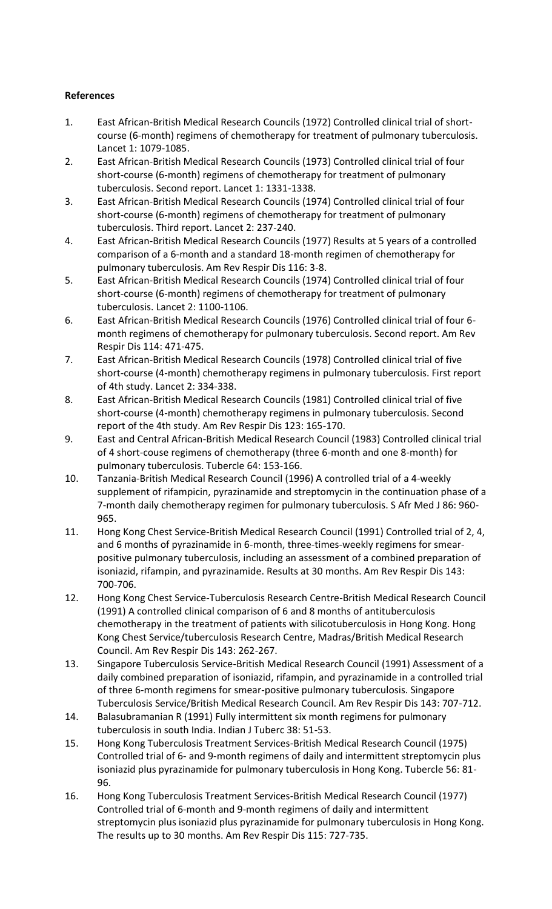## **References**

- 1. East African-British Medical Research Councils (1972) Controlled clinical trial of shortcourse (6-month) regimens of chemotherapy for treatment of pulmonary tuberculosis. Lancet 1: 1079-1085.
- 2. East African-British Medical Research Councils (1973) Controlled clinical trial of four short-course (6-month) regimens of chemotherapy for treatment of pulmonary tuberculosis. Second report. Lancet 1: 1331-1338.
- 3. East African-British Medical Research Councils (1974) Controlled clinical trial of four short-course (6-month) regimens of chemotherapy for treatment of pulmonary tuberculosis. Third report. Lancet 2: 237-240.
- 4. East African-British Medical Research Councils (1977) Results at 5 years of a controlled comparison of a 6-month and a standard 18-month regimen of chemotherapy for pulmonary tuberculosis. Am Rev Respir Dis 116: 3-8.
- 5. East African-British Medical Research Councils (1974) Controlled clinical trial of four short-course (6-month) regimens of chemotherapy for treatment of pulmonary tuberculosis. Lancet 2: 1100-1106.
- 6. East African-British Medical Research Councils (1976) Controlled clinical trial of four 6 month regimens of chemotherapy for pulmonary tuberculosis. Second report. Am Rev Respir Dis 114: 471-475.
- 7. East African-British Medical Research Councils (1978) Controlled clinical trial of five short-course (4-month) chemotherapy regimens in pulmonary tuberculosis. First report of 4th study. Lancet 2: 334-338.
- 8. East African-British Medical Research Councils (1981) Controlled clinical trial of five short-course (4-month) chemotherapy regimens in pulmonary tuberculosis. Second report of the 4th study. Am Rev Respir Dis 123: 165-170.
- 9. East and Central African-British Medical Research Council (1983) Controlled clinical trial of 4 short-couse regimens of chemotherapy (three 6-month and one 8-month) for pulmonary tuberculosis. Tubercle 64: 153-166.
- 10. Tanzania-British Medical Research Council (1996) A controlled trial of a 4-weekly supplement of rifampicin, pyrazinamide and streptomycin in the continuation phase of a 7-month daily chemotherapy regimen for pulmonary tuberculosis. S Afr Med J 86: 960- 965.
- 11. Hong Kong Chest Service-British Medical Research Council (1991) Controlled trial of 2, 4, and 6 months of pyrazinamide in 6-month, three-times-weekly regimens for smearpositive pulmonary tuberculosis, including an assessment of a combined preparation of isoniazid, rifampin, and pyrazinamide. Results at 30 months. Am Rev Respir Dis 143: 700-706.
- 12. Hong Kong Chest Service-Tuberculosis Research Centre-British Medical Research Council (1991) A controlled clinical comparison of 6 and 8 months of antituberculosis chemotherapy in the treatment of patients with silicotuberculosis in Hong Kong. Hong Kong Chest Service/tuberculosis Research Centre, Madras/British Medical Research Council. Am Rev Respir Dis 143: 262-267.
- 13. Singapore Tuberculosis Service-British Medical Research Council (1991) Assessment of a daily combined preparation of isoniazid, rifampin, and pyrazinamide in a controlled trial of three 6-month regimens for smear-positive pulmonary tuberculosis. Singapore Tuberculosis Service/British Medical Research Council. Am Rev Respir Dis 143: 707-712.
- 14. Balasubramanian R (1991) Fully intermittent six month regimens for pulmonary tuberculosis in south India. Indian J Tuberc 38: 51-53.
- 15. Hong Kong Tuberculosis Treatment Services-British Medical Research Council (1975) Controlled trial of 6- and 9-month regimens of daily and intermittent streptomycin plus isoniazid plus pyrazinamide for pulmonary tuberculosis in Hong Kong. Tubercle 56: 81- 96.
- 16. Hong Kong Tuberculosis Treatment Services-British Medical Research Council (1977) Controlled trial of 6-month and 9-month regimens of daily and intermittent streptomycin plus isoniazid plus pyrazinamide for pulmonary tuberculosis in Hong Kong. The results up to 30 months. Am Rev Respir Dis 115: 727-735.